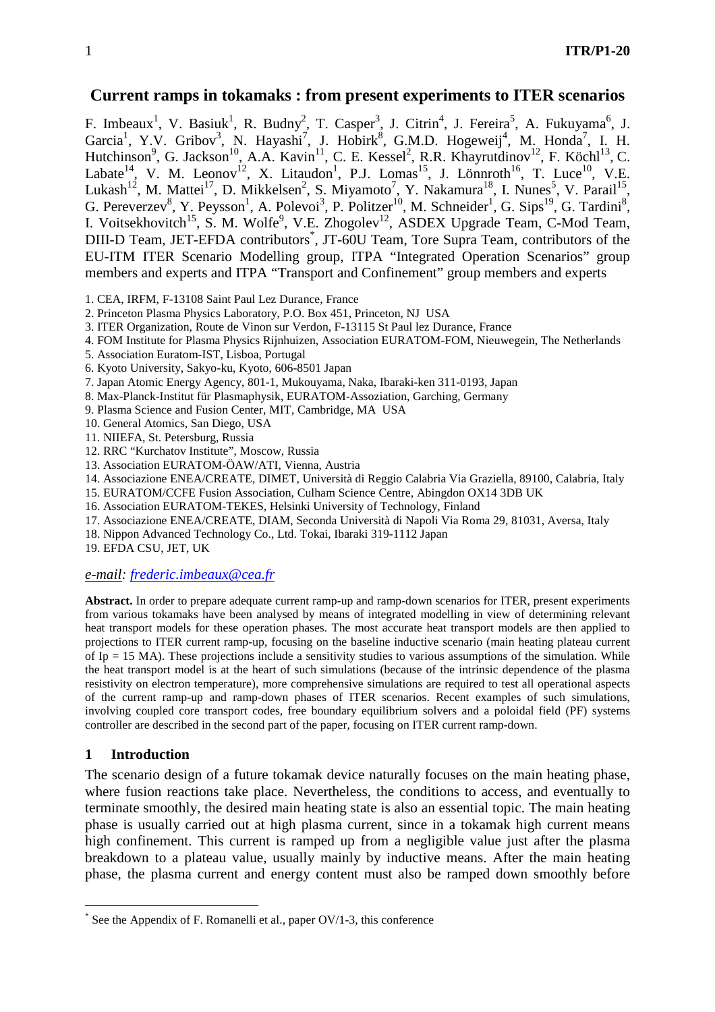# **Current ramps in tokamaks : from present experiments to ITER scenarios**

F. Imbeaux<sup>1</sup>, V. Basiuk<sup>1</sup>, R. Budny<sup>2</sup>, T. Casper<sup>3</sup>, J. Citrin<sup>4</sup>, J. Fereira<sup>5</sup>, A. Fukuyama<sup>6</sup>, J. Garcia<sup>1</sup>, Y.V. Gribov<sup>3</sup>, N. Hayashi<sup>7</sup>, J. Hobirk<sup>8</sup>, G.M.D. Hogeweij<sup>4</sup>, M. Honda<sup>7</sup>, I. H. Hutchinson<sup>9</sup>, G. Jackson<sup>10</sup>, A.A. Kavin<sup>11</sup>, C. E. Kessel<sup>2</sup>, R.R. Khayrutdinov<sup>12</sup>, F. Köchl<sup>13</sup>, C. Labate<sup>14</sup>, V. M. Leonov<sup>12</sup>, X. Litaudon<sup>1</sup>, P.J. Lomas<sup>15</sup>, J. Lönnroth<sup>16</sup>, T. Luce<sup>10</sup>, V.E. Lukash<sup>12</sup>, M. Mattei<sup>17</sup>, D. Mikkelsen<sup>2</sup>, S. Miyamoto<sup>7</sup>, Y. Nakamura<sup>18</sup>, I. Nunes<sup>5</sup>, V. Parail<sup>15</sup>, G. Pereverzev<sup>8</sup>, Y. Peysson<sup>1</sup>, A. Polevoi<sup>3</sup>, P. Politzer<sup>10</sup>, M. Schneider<sup>1</sup>, G. Sips<sup>19</sup>, G. Tardini<sup>8</sup>, I. Voitsekhovitch<sup>15</sup>, S. M. Wolfe<sup>9</sup>, V.E. Zhogolev<sup>12</sup>, ASDEX Upgrade Team, C-Mod Team, DIII-D Team, JET-EFDA contributors<sup>\*</sup>, JT-60U Team, Tore Supra Team, contributors of the EU-ITM ITER Scenario Modelling group, ITPA "Integrated Operation Scenarios" group members and experts and ITPA "Transport and Confinement" group members and experts

- 1. CEA, IRFM, F-13108 Saint Paul Lez Durance, France
- 2. Princeton Plasma Physics Laboratory, P.O. Box 451, Princeton, NJ USA
- 3. ITER Organization, Route de Vinon sur Verdon, F-13115 St Paul lez Durance, France
- 4. FOM Institute for Plasma Physics Rijnhuizen, Association EURATOM-FOM, Nieuwegein, The Netherlands
- 5. Association Euratom-IST, Lisboa, Portugal
- 6. Kyoto University, Sakyo-ku, Kyoto, 606-8501 Japan
- 7. Japan Atomic Energy Agency, 801-1, Mukouyama, Naka, Ibaraki-ken 311-0193, Japan
- 8. Max-Planck-Institut für Plasmaphysik, EURATOM-Assoziation, Garching, Germany
- 9. Plasma Science and Fusion Center, MIT, Cambridge, MA USA
- 10. General Atomics, San Diego, USA
- 11. NIIEFA, St. Petersburg, Russia
- 12. RRC "Kurchatov Institute", Moscow, Russia
- 13. Association EURATOM-ÖAW/ATI, Vienna, Austria
- 14. Associazione ENEA/CREATE, DIMET, Università di Reggio Calabria Via Graziella, 89100, Calabria, Italy
- 15. EURATOM/CCFE Fusion Association, Culham Science Centre, Abingdon OX14 3DB UK
- 16. Association EURATOM-TEKES, Helsinki University of Technology, Finland
- 17. Associazione ENEA/CREATE, DIAM, Seconda Università di Napoli Via Roma 29, 81031, Aversa, Italy
- 18. Nippon Advanced Technology Co., Ltd. Tokai, Ibaraki 319-1112 Japan
- 19. EFDA CSU, JET, UK

### *e-mail: frederic.imbeaux@cea.fr*

**Abstract.** In order to prepare adequate current ramp-up and ramp-down scenarios for ITER, present experiments from various tokamaks have been analysed by means of integrated modelling in view of determining relevant heat transport models for these operation phases. The most accurate heat transport models are then applied to projections to ITER current ramp-up, focusing on the baseline inductive scenario (main heating plateau current of Ip = 15 MA). These projections include a sensitivity studies to various assumptions of the simulation. While the heat transport model is at the heart of such simulations (because of the intrinsic dependence of the plasma resistivity on electron temperature), more comprehensive simulations are required to test all operational aspects of the current ramp-up and ramp-down phases of ITER scenarios. Recent examples of such simulations, involving coupled core transport codes, free boundary equilibrium solvers and a poloidal field (PF) systems controller are described in the second part of the paper, focusing on ITER current ramp-down.

## **1 Introduction**

 $\overline{a}$ 

The scenario design of a future tokamak device naturally focuses on the main heating phase, where fusion reactions take place. Nevertheless, the conditions to access, and eventually to terminate smoothly, the desired main heating state is also an essential topic. The main heating phase is usually carried out at high plasma current, since in a tokamak high current means high confinement. This current is ramped up from a negligible value just after the plasma breakdown to a plateau value, usually mainly by inductive means. After the main heating phase, the plasma current and energy content must also be ramped down smoothly before

<sup>\*</sup> See the Appendix of F. Romanelli et al., paper OV/1-3, this conference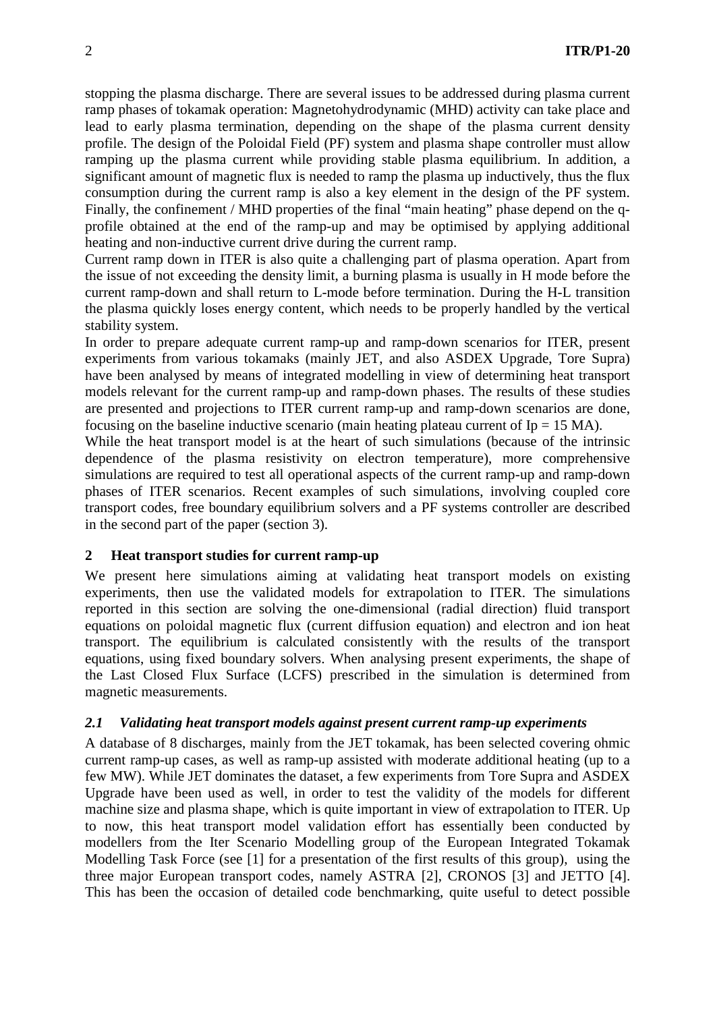stopping the plasma discharge. There are several issues to be addressed during plasma current ramp phases of tokamak operation: Magnetohydrodynamic (MHD) activity can take place and lead to early plasma termination, depending on the shape of the plasma current density profile. The design of the Poloidal Field (PF) system and plasma shape controller must allow ramping up the plasma current while providing stable plasma equilibrium. In addition, a significant amount of magnetic flux is needed to ramp the plasma up inductively, thus the flux consumption during the current ramp is also a key element in the design of the PF system. Finally, the confinement / MHD properties of the final "main heating" phase depend on the qprofile obtained at the end of the ramp-up and may be optimised by applying additional heating and non-inductive current drive during the current ramp.

Current ramp down in ITER is also quite a challenging part of plasma operation. Apart from the issue of not exceeding the density limit, a burning plasma is usually in H mode before the current ramp-down and shall return to L-mode before termination. During the H-L transition the plasma quickly loses energy content, which needs to be properly handled by the vertical stability system.

In order to prepare adequate current ramp-up and ramp-down scenarios for ITER, present experiments from various tokamaks (mainly JET, and also ASDEX Upgrade, Tore Supra) have been analysed by means of integrated modelling in view of determining heat transport models relevant for the current ramp-up and ramp-down phases. The results of these studies are presented and projections to ITER current ramp-up and ramp-down scenarios are done, focusing on the baseline inductive scenario (main heating plateau current of  $Ip = 15 MA$ ).

While the heat transport model is at the heart of such simulations (because of the intrinsic dependence of the plasma resistivity on electron temperature), more comprehensive simulations are required to test all operational aspects of the current ramp-up and ramp-down phases of ITER scenarios. Recent examples of such simulations, involving coupled core transport codes, free boundary equilibrium solvers and a PF systems controller are described in the second part of the paper (section 3).

## **2 Heat transport studies for current ramp-up**

We present here simulations aiming at validating heat transport models on existing experiments, then use the validated models for extrapolation to ITER. The simulations reported in this section are solving the one-dimensional (radial direction) fluid transport equations on poloidal magnetic flux (current diffusion equation) and electron and ion heat transport. The equilibrium is calculated consistently with the results of the transport equations, using fixed boundary solvers. When analysing present experiments, the shape of the Last Closed Flux Surface (LCFS) prescribed in the simulation is determined from magnetic measurements.

## *2.1 Validating heat transport models against present current ramp-up experiments*

A database of 8 discharges, mainly from the JET tokamak, has been selected covering ohmic current ramp-up cases, as well as ramp-up assisted with moderate additional heating (up to a few MW). While JET dominates the dataset, a few experiments from Tore Supra and ASDEX Upgrade have been used as well, in order to test the validity of the models for different machine size and plasma shape, which is quite important in view of extrapolation to ITER. Up to now, this heat transport model validation effort has essentially been conducted by modellers from the Iter Scenario Modelling group of the European Integrated Tokamak Modelling Task Force (see [1] for a presentation of the first results of this group), using the three major European transport codes, namely ASTRA [2], CRONOS [3] and JETTO [4]. This has been the occasion of detailed code benchmarking, quite useful to detect possible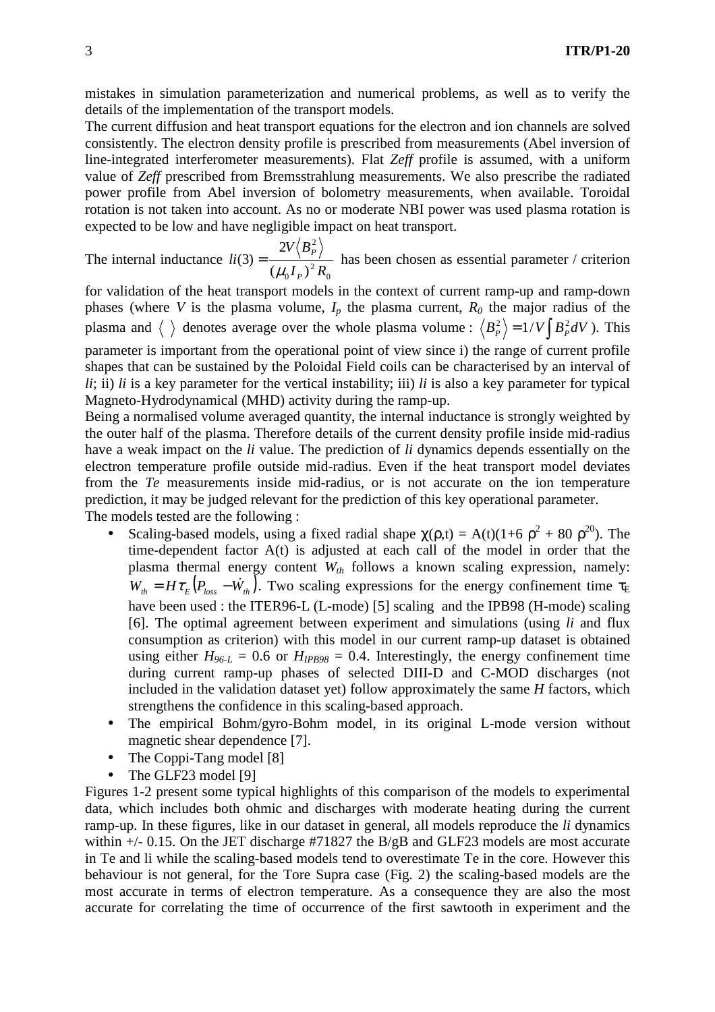mistakes in simulation parameterization and numerical problems, as well as to verify the details of the implementation of the transport models.

The current diffusion and heat transport equations for the electron and ion channels are solved consistently. The electron density profile is prescribed from measurements (Abel inversion of line-integrated interferometer measurements). Flat *Zeff* profile is assumed, with a uniform value of *Zeff* prescribed from Bremsstrahlung measurements. We also prescribe the radiated power profile from Abel inversion of bolometry measurements, when available. Toroidal rotation is not taken into account. As no or moderate NBI power was used plasma rotation is expected to be low and have negligible impact on heat transport.

The internal inductance 0 2 0 2  $(\mu_0 I_p)$ 2  $(3)$  $I_P)^2 R$  $V\langle B \rangle$ *li P P*  $\mu_{_0}$  $=\frac{1}{2} \frac{r}{\sqrt{2}}$  has been chosen as essential parameter / criterion

for validation of the heat transport models in the context of current ramp-up and ramp-down phases (where *V* is the plasma volume,  $I_p$  the plasma current,  $R_0$  the major radius of the plasma and  $\langle \rangle$  denotes average over the whole plasma volume :  $\langle B_P^2 \rangle = 1/V \int B_P^2 dV$  ). This parameter is important from the operational point of view since i) the range of current profile shapes that can be sustained by the Poloidal Field coils can be characterised by an interval of  $li$ ; ii)  $li$  is a key parameter for the vertical instability; iii)  $li$  is also a key parameter for typical Magneto-Hydrodynamical (MHD) activity during the ramp-up.

Being a normalised volume averaged quantity, the internal inductance is strongly weighted by the outer half of the plasma. Therefore details of the current density profile inside mid-radius have a weak impact on the *li* value. The prediction of *li* dynamics depends essentially on the electron temperature profile outside mid-radius. Even if the heat transport model deviates from the *Te* measurements inside mid-radius, or is not accurate on the ion temperature prediction, it may be judged relevant for the prediction of this key operational parameter. The models tested are the following :

- Scaling-based models, using a fixed radial shape  $\chi(\rho, t) = A(t)(1+6 \rho^2 + 80 \rho^{20})$ . The time-dependent factor A(t) is adjusted at each call of the model in order that the plasma thermal energy content *Wth* follows a known scaling expression, namely:  $W_{th} = H\tau_E (P_{loss} - \dot{W}_{th})$ . Two scaling expressions for the energy confinement time  $\tau_E$ have been used : the ITER96-L (L-mode) [5] scaling and the IPB98 (H-mode) scaling [6]. The optimal agreement between experiment and simulations (using *li* and flux consumption as criterion) with this model in our current ramp-up dataset is obtained using either  $H_{96-L} = 0.6$  or  $H_{IPB98} = 0.4$ . Interestingly, the energy confinement time during current ramp-up phases of selected DIII-D and C-MOD discharges (not included in the validation dataset yet) follow approximately the same *H* factors, which strengthens the confidence in this scaling-based approach.
- The empirical Bohm/gyro-Bohm model, in its original L-mode version without magnetic shear dependence [7].
- The Coppi-Tang model [8]
- The GLF23 model [9]

Figures 1-2 present some typical highlights of this comparison of the models to experimental data, which includes both ohmic and discharges with moderate heating during the current ramp-up. In these figures, like in our dataset in general, all models reproduce the *li* dynamics within  $+/-$  0.15. On the JET discharge #71827 the B/gB and GLF23 models are most accurate in Te and li while the scaling-based models tend to overestimate Te in the core. However this behaviour is not general, for the Tore Supra case (Fig. 2) the scaling-based models are the most accurate in terms of electron temperature. As a consequence they are also the most accurate for correlating the time of occurrence of the first sawtooth in experiment and the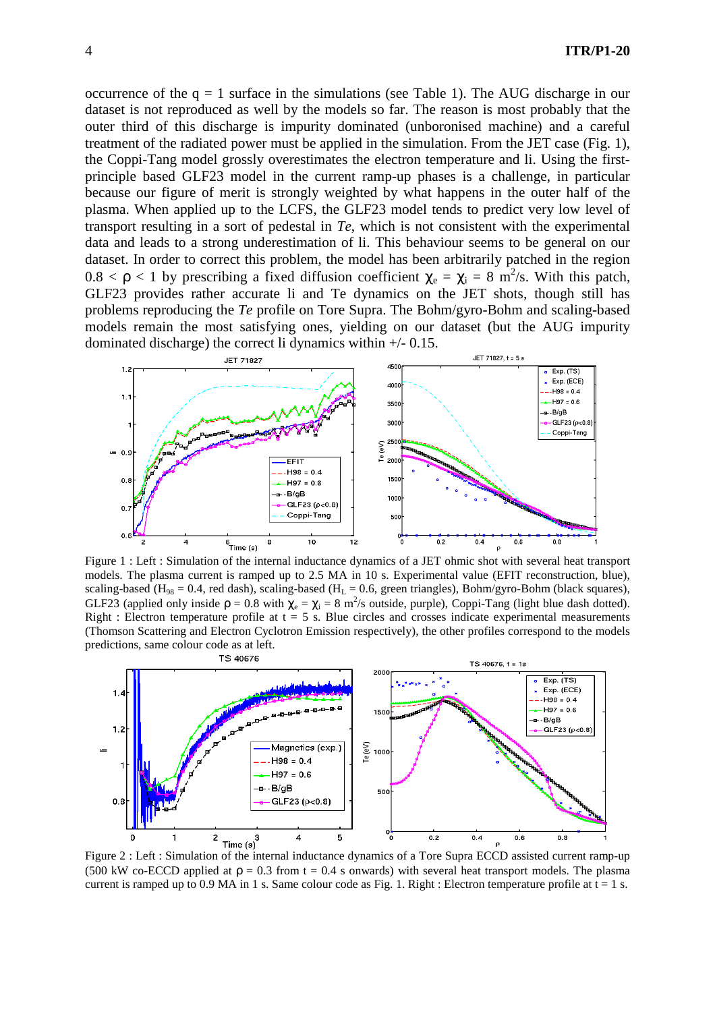occurrence of the  $q = 1$  surface in the simulations (see Table 1). The AUG discharge in our dataset is not reproduced as well by the models so far. The reason is most probably that the outer third of this discharge is impurity dominated (unboronised machine) and a careful treatment of the radiated power must be applied in the simulation. From the JET case (Fig. 1), the Coppi-Tang model grossly overestimates the electron temperature and li. Using the firstprinciple based GLF23 model in the current ramp-up phases is a challenge, in particular because our figure of merit is strongly weighted by what happens in the outer half of the plasma. When applied up to the LCFS, the GLF23 model tends to predict very low level of transport resulting in a sort of pedestal in *Te*, which is not consistent with the experimental data and leads to a strong underestimation of li. This behaviour seems to be general on our dataset. In order to correct this problem, the model has been arbitrarily patched in the region  $0.8 < \rho < 1$  by prescribing a fixed diffusion coefficient  $\chi_e = \chi_i = 8$  m<sup>2</sup>/s. With this patch, GLF23 provides rather accurate li and Te dynamics on the JET shots, though still has problems reproducing the *Te* profile on Tore Supra. The Bohm/gyro-Bohm and scaling-based models remain the most satisfying ones, yielding on our dataset (but the AUG impurity dominated discharge) the correct li dynamics within  $+/- 0.15$ .



Figure 1 : Left : Simulation of the internal inductance dynamics of a JET ohmic shot with several heat transport models. The plasma current is ramped up to 2.5 MA in 10 s. Experimental value (EFIT reconstruction, blue), scaling-based (H<sub>98</sub> = 0.4, red dash), scaling-based (H<sub>L</sub> = 0.6, green triangles), Bohm/gyro-Bohm (black squares), GLF23 (applied only inside  $p = 0.8$  with  $\chi_e = \chi_i = 8$  m<sup>2</sup>/s outside, purple), Coppi-Tang (light blue dash dotted). Right : Electron temperature profile at  $t = 5$  s. Blue circles and crosses indicate experimental measurements (Thomson Scattering and Electron Cyclotron Emission respectively), the other profiles correspond to the models predictions, same colour code as at left.



(500 kW co-ECCD applied at  $\rho = 0.3$  from t = 0.4 s onwards) with several heat transport models. The plasma current is ramped up to 0.9 MA in 1 s. Same colour code as Fig. 1. Right : Electron temperature profile at  $t = 1$  s.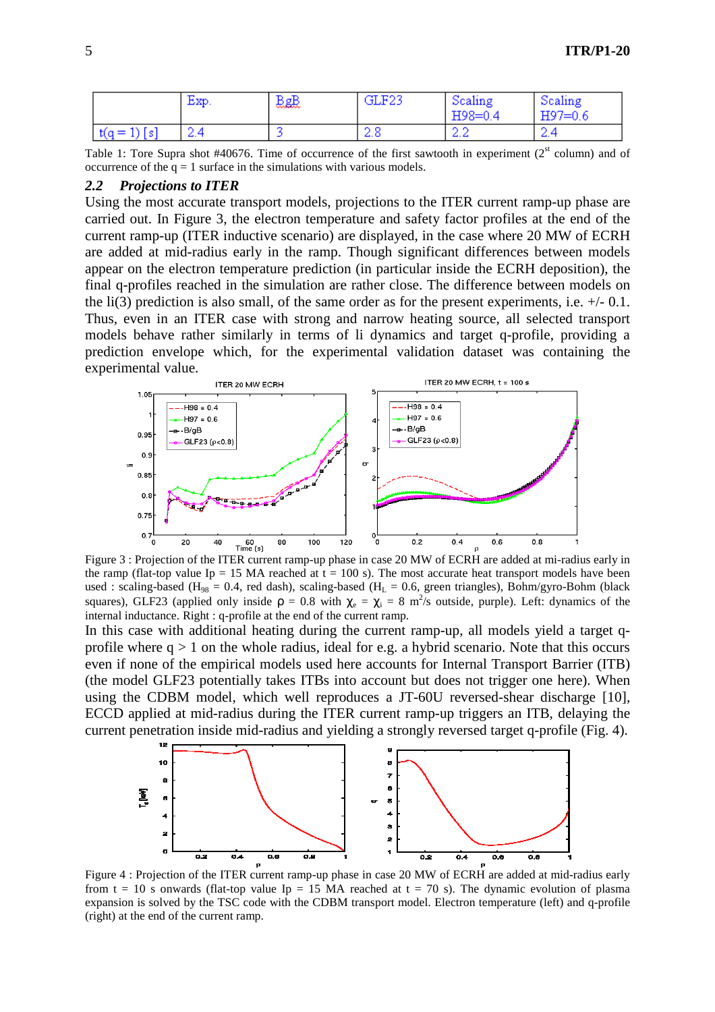|                | Exp. | 恩感 | GLF23           | Scaling<br>$H98 = 0.4$ | Scaling<br>$H97=0.6$ |
|----------------|------|----|-----------------|------------------------|----------------------|
| $t(q = 1)$ [s] | -2.4 |    | - 22. 0<br>-4.0 | ے ۔ے                   | - 7<br>-4.4          |

Table 1: Tore Supra shot #40676. Time of occurrence of the first sawtooth in experiment ( $2<sup>st</sup>$  column) and of occurrence of the  $q = 1$  surface in the simulations with various models.

#### *2.2 Projections to ITER*

Using the most accurate transport models, projections to the ITER current ramp-up phase are carried out. In Figure 3, the electron temperature and safety factor profiles at the end of the current ramp-up (ITER inductive scenario) are displayed, in the case where 20 MW of ECRH are added at mid-radius early in the ramp. Though significant differences between models appear on the electron temperature prediction (in particular inside the ECRH deposition), the final q-profiles reached in the simulation are rather close. The difference between models on the li(3) prediction is also small, of the same order as for the present experiments, i.e.  $+/- 0.1$ . Thus, even in an ITER case with strong and narrow heating source, all selected transport models behave rather similarly in terms of li dynamics and target q-profile, providing a prediction envelope which, for the experimental validation dataset was containing the experimental value.



Figure 3 : Projection of the ITER current ramp-up phase in case 20 MW of ECRH are added at mi-radius early in the ramp (flat-top value Ip = 15 MA reached at  $t = 100$  s). The most accurate heat transport models have been used : scaling-based ( $H_{98} = 0.4$ , red dash), scaling-based ( $H_L = 0.6$ , green triangles), Bohm/gyro-Bohm (black squares), GLF23 (applied only inside  $\rho = 0.8$  with  $\chi_e = \chi_i = 8$  m<sup>2</sup>/s outside, purple). Left: dynamics of the internal inductance. Right : q-profile at the end of the current ramp.

In this case with additional heating during the current ramp-up, all models yield a target qprofile where  $q > 1$  on the whole radius, ideal for e.g. a hybrid scenario. Note that this occurs even if none of the empirical models used here accounts for Internal Transport Barrier (ITB) (the model GLF23 potentially takes ITBs into account but does not trigger one here). When using the CDBM model, which well reproduces a JT-60U reversed-shear discharge [10], ECCD applied at mid-radius during the ITER current ramp-up triggers an ITB, delaying the current penetration inside mid-radius and yielding a strongly reversed target q-profile (Fig. 4).



Figure 4 : Projection of the ITER current ramp-up phase in case 20 MW of ECRH are added at mid-radius early from t = 10 s onwards (flat-top value Ip = 15 MA reached at t = 70 s). The dynamic evolution of plasma expansion is solved by the TSC code with the CDBM transport model. Electron temperature (left) and q-profile (right) at the end of the current ramp.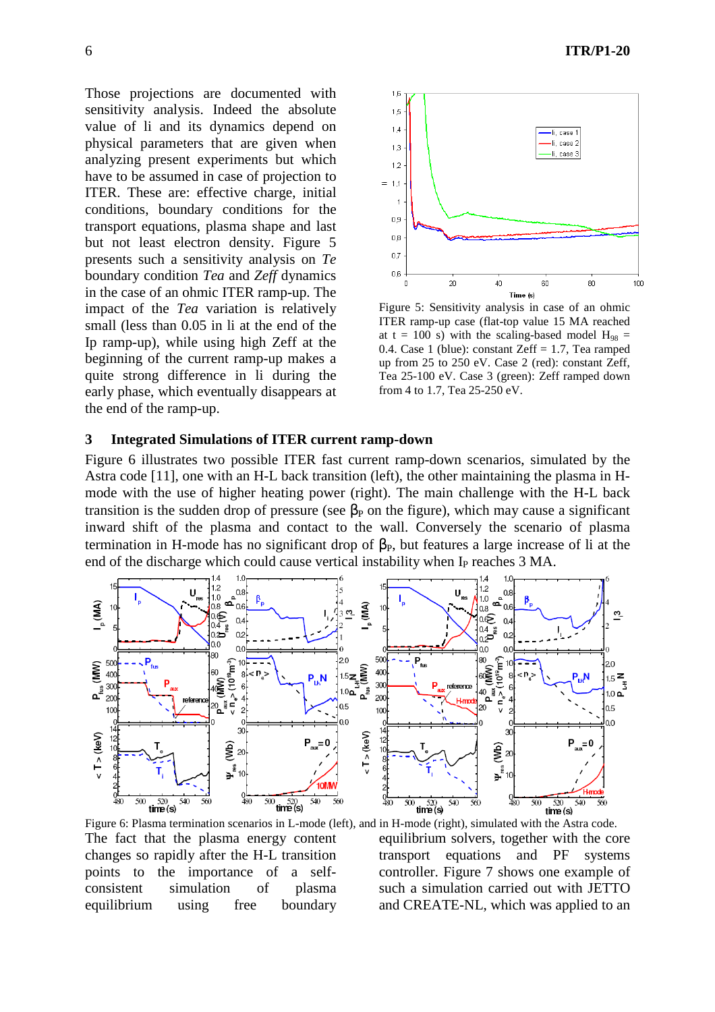Those projections are documented with sensitivity analysis. Indeed the absolute value of li and its dynamics depend on physical parameters that are given when analyzing present experiments but which have to be assumed in case of projection to ITER. These are: effective charge, initial conditions, boundary conditions for the transport equations, plasma shape and last but not least electron density. Figure 5 presents such a sensitivity analysis on *Te*  boundary condition *Tea* and *Zeff* dynamics in the case of an ohmic ITER ramp-up. The impact of the *Tea* variation is relatively small (less than 0.05 in li at the end of the Ip ramp-up), while using high Zeff at the beginning of the current ramp-up makes a quite strong difference in li during the early phase, which eventually disappears at the end of the ramp-up.



Figure 5: Sensitivity analysis in case of an ohmic ITER ramp-up case (flat-top value 15 MA reached at t = 100 s) with the scaling-based model  $H_{98}$  = 0.4. Case 1 (blue): constant Zeff  $= 1.7$ , Tea ramped up from 25 to 250 eV. Case 2 (red): constant Zeff, Tea 25-100 eV. Case 3 (green): Zeff ramped down from 4 to 1.7, Tea 25-250 eV.

# **3 Integrated Simulations of ITER current ramp-down**

Figure 6 illustrates two possible ITER fast current ramp-down scenarios, simulated by the Astra code [11], one with an H-L back transition (left), the other maintaining the plasma in Hmode with the use of higher heating power (right). The main challenge with the H-L back transition is the sudden drop of pressure (see  $\beta_P$  on the figure), which may cause a significant inward shift of the plasma and contact to the wall. Conversely the scenario of plasma termination in H-mode has no significant drop of  $\beta_P$ , but features a large increase of li at the end of the discharge which could cause vertical instability when I<sub>P</sub> reaches 3 MA.



Figure 6: Plasma termination scenarios in L-mode (left), and in H-mode (right), simulated with the Astra code. The fact that the plasma energy content changes so rapidly after the H-L transition points to the importance of a selfconsistent simulation of plasma equilibrium using free boundary

equilibrium solvers, together with the core transport equations and PF systems controller. Figure 7 shows one example of such a simulation carried out with JETTO and CREATE-NL, which was applied to an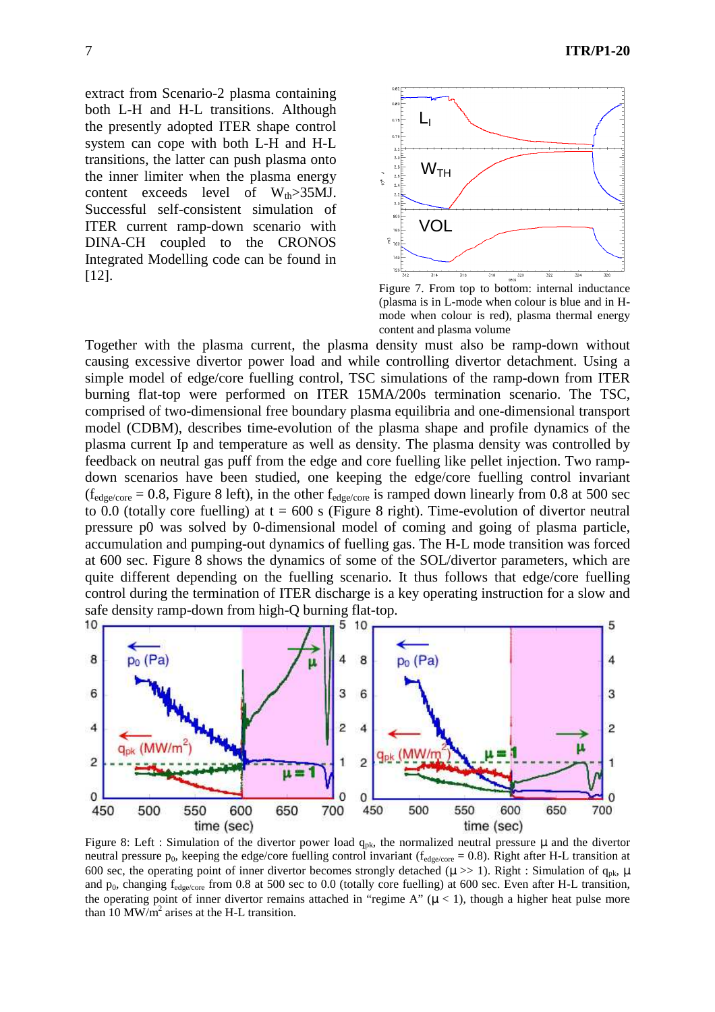extract from Scenario-2 plasma containing both L-H and H-L transitions. Although the presently adopted ITER shape control system can cope with both L-H and H-L transitions, the latter can push plasma onto the inner limiter when the plasma energy content exceeds level of  $W_{th} > 35$ MJ. Successful self-consistent simulation of ITER current ramp-down scenario with DINA-CH coupled to the CRONOS Integrated Modelling code can be found in



Figure 7. From top to bottom: internal inductance (plasma is in L-mode when colour is blue and in Hmode when colour is red), plasma thermal energy content and plasma volume

Together with the plasma current, the plasma density must also be ramp-down without causing excessive divertor power load and while controlling divertor detachment. Using a simple model of edge/core fuelling control, TSC simulations of the ramp-down from ITER burning flat-top were performed on ITER 15MA/200s termination scenario. The TSC, comprised of two-dimensional free boundary plasma equilibria and one-dimensional transport model (CDBM), describes time-evolution of the plasma shape and profile dynamics of the plasma current Ip and temperature as well as density. The plasma density was controlled by feedback on neutral gas puff from the edge and core fuelling like pellet injection. Two rampdown scenarios have been studied, one keeping the edge/core fuelling control invariant  $(f_{edge/core} = 0.8,$  Figure 8 left), in the other  $f_{edge/core}$  is ramped down linearly from 0.8 at 500 sec to 0.0 (totally core fuelling) at  $t = 600$  s (Figure 8 right). Time-evolution of divertor neutral pressure p0 was solved by 0-dimensional model of coming and going of plasma particle, accumulation and pumping-out dynamics of fuelling gas. The H-L mode transition was forced at 600 sec. Figure 8 shows the dynamics of some of the SOL/divertor parameters, which are quite different depending on the fuelling scenario. It thus follows that edge/core fuelling control during the termination of ITER discharge is a key operating instruction for a slow and safe density ramp-down from high-Q burning flat-top.



Figure 8: Left : Simulation of the divertor power load  $q_{pk}$ , the normalized neutral pressure  $\mu$  and the divertor neutral pressure  $p_0$ , keeping the edge/core fuelling control invariant ( $f_{\text{edgecore}} = 0.8$ ). Right after H-L transition at 600 sec, the operating point of inner divertor becomes strongly detached ( $\mu$  >> 1). Right : Simulation of  $q_{pk}$ ,  $\mu$ and  $p_0$ , changing  $f_{edgecore}$  from 0.8 at 500 sec to 0.0 (totally core fuelling) at 600 sec. Even after H-L transition, the operating point of inner divertor remains attached in "regime A"  $(\mu < 1)$ , though a higher heat pulse more than  $10 \text{ MW/m}^2$  arises at the H-L transition.